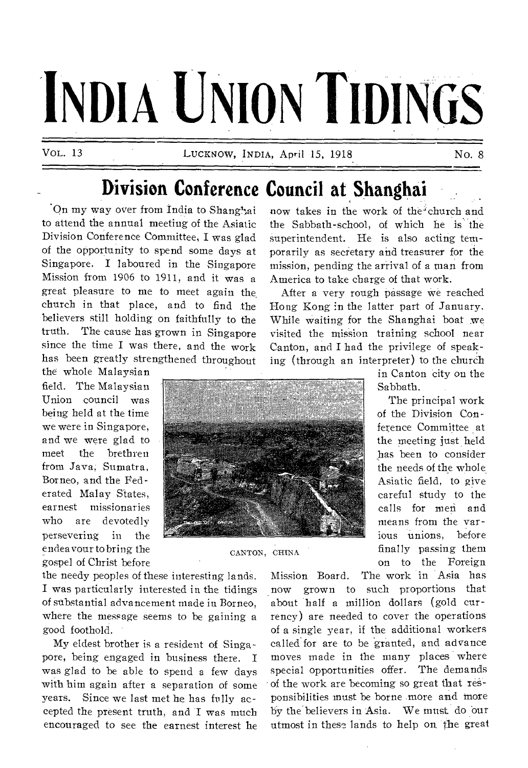# **INDIA UNION TIDINGS**

**VOL. 13 LUCKNOW, INDIA, April** 15, 1918 No. 8

# **Division Conference Council at Shanghai**

'On my way over from India to Shanghai to attend the annual meeting of the Asiatic Division Conference Committee, I was glad of the opportunity to spend some days at Singapore. I laboured in the Singapore Mission from 1906 to 1911, and it was a great pleasure to me to meet again the, church in that place, and to find the believers still holding on faithfully to the truth. The cause has grown in Singapore since the time I was there, and the work has been greatly strengthened throughout

the whole Malaysian field. The Malaysian Union council was being held at the time we were in Singapore, and we were glad to meet the brethren from Java, Sumatra, Borneo, and the Federated Malay States, earnest missionaries who are devotedly persevering in the endeavour to bring the gospel of Christ before

the needy peoples of these interesting lands. I was particularly interested in the tidings of substantial advancement made in Borneo, where the message seems to be gaining a good foothold.

My eldest brother is a resident of Singapore, being engaged in business there. I was glad to be able to spend a few days with him again after a separation of some years. Since we last met he has folly accepted the present truth, and I was much encouraged to see the earnest interest he now takes in the work of the'churchand the Sabbath-school, of which he is the superintendent. He is also acting temporarily as secretary and treasurer for the mission, pending the arrival of a man from America to take charge of that work.

After a very rough passage we reached Hong Kong in the latter part of January. While waiting for the Shanghai boat we visited the mission training school near Canton, and I had the privilege of speaking (through an interpreter) to the church



**CANTON, CHINA** 

in Canton city on the Sabbath.

The principal work of the Division Conference Committee at the meeting just held has been to consider the needs of the whole Asiatic field, to give careful study to the calls for men and means from the various unions, before finally passing them on to the Foreign

Mission Board. The work in Asia has now grown to such proportions that about half a million dollars (gold currency) are needed to cover the operations of a single year, if the additional workers called for are to be granted, and **advance**  moves made in the many places where special opportunities offer. The demands of the work are becoming so great that responsibilities must be borne more and more by the believers in Asia. We must. do our utmost in these lands to help on the great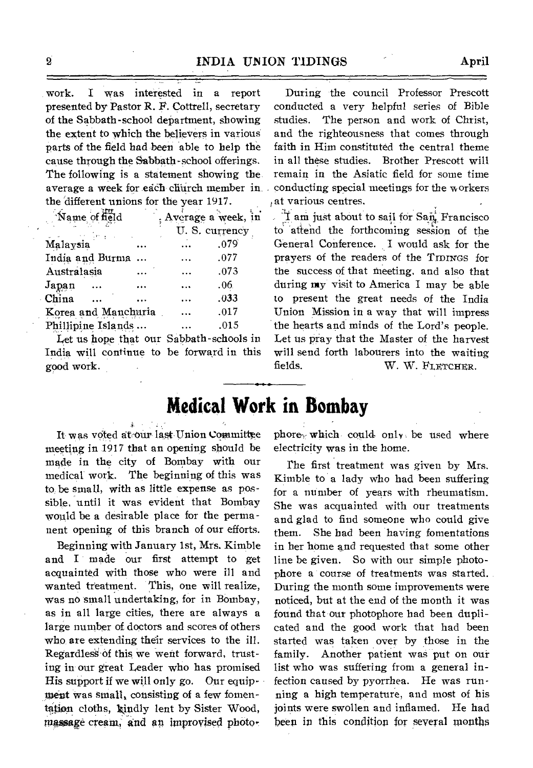work. I was interested in a report presented by Pastor R. F. Cottrell, secretary of the Sabbath-school department, showing the extent to which the believers in various parts of the field had been able to help the cause through the Sabbath-school offerings. The following is a statement showing the average a week for each church member in the 'different unions for the year 1917.

| Name of field       |        |  | ; Average a week, in |               |
|---------------------|--------|--|----------------------|---------------|
|                     | n yezh |  |                      | U.S. currency |
| Malaysia            |        |  | $\ddotsc$            | .079          |
| India and Burma     |        |  |                      | .077          |
| Australasia         |        |  |                      | .073          |
| Japan               |        |  |                      | .06.          |
| China               |        |  |                      | .033          |
| Korea and Manchuria |        |  |                      | .017          |
| Phillipine Islands  |        |  |                      | .015          |

Let us hope that our Sabbath -schools in India will continue to be forward in this good work.

During the council Professor Prescott conducted a very helpful series of Bible studies. The person and work of Christ, and the righteousness that comes through faith in Him constituted the central theme in all these studies. Brother Prescott will remain in the Asiatic field for some time conducting special meetings for the workers at various centres.

I am just about to sail for San. Francisco to attend the forthcoming session of the General Conference. I would ask for the prayers of the readers of the TIDINGS for the success of that meeting, and also that during my visit to America I may be able to present the great needs of the India Union Mission in a way that will impress the hearts and minds of the Lord's people. Let us pray that the Master of the harvest will send forth labourers into the waiting fields. W. W. FLETCHER.

# **Medical Work in Bombay**

It was voted at our last Union Committee meeting in 1917 that an opening should be made in the city of Bombay with our medical work. The beginning of this was to be small, with as little expense as possible, until it was evident that Bombay would be a desirable place for the permanent opening of this branch of our efforts.

Beginning with January 1st, Mrs. Kimble and I made our first attempt to get acquainted with those who were ill and wanted treatment. This, one will realize, was no small undertaking, for in Bombay, as in all large cities, there are always a large number of doctors and scores of others who are extending their services to the ill. RegardlesS Of this we went forward, trusting in our great Leader who has promised His support if we will only go. Our equipment was small, consisting of a few fomentation cloths, kindly lent by Sister Wood, massage cream, and an improvised photophore<sub>y</sub> which could only be used where electricity was in the home.

The first treatment was given by Mrs. Kimble to a lady who had been suffering for a number of years with rheumatism. She was acquainted with our treatments and glad to find someone who could give them. She had been having fomentations in her home and requested that some other line be given. So with our simple photophore a course of treatments was started. During the month some improvements were noticed, but at the end of the month it was found that our photophore had been duplicated and the good work that had been started was taken over by those in the family. Another patient was put on our list who was suffering from a general infection caused by pyorrhea. He was running a high temperature, and most of his joints were swollen and inflamed. He had been in this condition for several months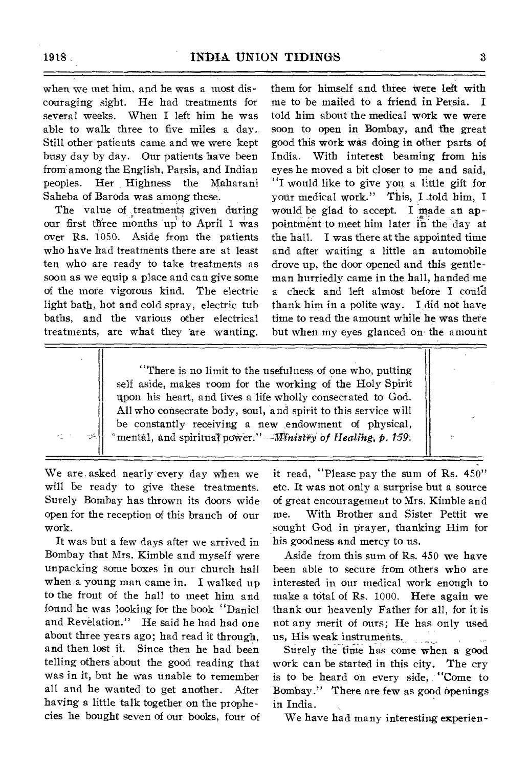when we met him, and he was a most discouraging sight. He had treatments for several weeks. When I left him he was able to walk three to five miles a day. Still other patients came and we were kept busy day by day. Our patients have been from among the English, Parsis, and Indian peoples. Her Highness the Maharani Saheba of Baroda was among these.

The value of treatments given during our first three months 'up to April 1 was over Rs. 1050. Aside from the patients who have had treatments there are at least ten who are ready to take treatments as soon as we equip a place and can give some of the more vigorous kind. The electric light bath, hot and cold spray, electric tub baths, and the various other electrical treatments, are what they are wanting.

them for himself and three were left with me to be mailed to a friend in Persia. I told him about the medical work we were soon to open in Bombay, and the great good this work was doing in other parts of India. With interest beaming from his eyes he moved a bit closer to me and said, "I would like to give you a little gift for your medical work." This, I told him, I would be glad to accept. I made an appointment to meet him later in the day at the hall. I was there at the appointed time and after waiting a little an automobile drove up, the door opened and this gentleman hurriedly came in the hall, handed me a check and left almost before I could thank him in a polite way. I did not have time to read the amount while he was there but when my eyes glanced on the amount

"There is no limit to the usefulness of one who, putting self aside, makes room for the working of the Holy Spirit upon his heart, and lives a life wholly consecrated to God. All who consecrate body, soul, and spirit to this service will be constantly receiving a new endowment of physical,  $^{\circ}$ mental, and spiritual power."—*Ministry of Healing, p. 159*.

We are asked nearly every day when we will be ready to give these treatments. Surely Bombay has thrown its doors wide open for the reception of this branch of our work.

 $\mathbb{C}^{\mathsf{S}^{\mathsf{C}}}_{\mathsf{P}^{\mathsf{C}}}$ 

It was but a few days after we arrived in Bombay that Mrs. Kimble and myself were unpacking some boxes in our church hall when a young man came in. I walked up to the front of the hall to meet him and found he was looking for the book "Daniel and Revelation." He said he had had one about three years ago; had read it through, and then lost it. Since then he bad been telling others about the good reading that was in it, but he was unable to remember all and he wanted to get another. After having a little talk together on the prophecies he bought seven of our books, four of

it read, "Please pay the sum of Rs. 450" etc. It was not only a surprise but a source of great encouragement to Mrs. Kimble and me. With Brother and Sister Pettit we sought God in prayer, thanking Him for his goodness and mercy to us.

Aside from this sum of Rs. 450 we have been able to secure from others who are interested in our medical work enough to make a total of Rs. 1000. Here again we thank our heavenly Father for all, for it is not any merit of ours; He has only used us, His weak instruments. i<br>Video este film

Surely the time has come when a good work can be started in this city. The cry is to be heard on every side, "Come to Bombay." There are few as good openings in India.

We have had many interesting experien-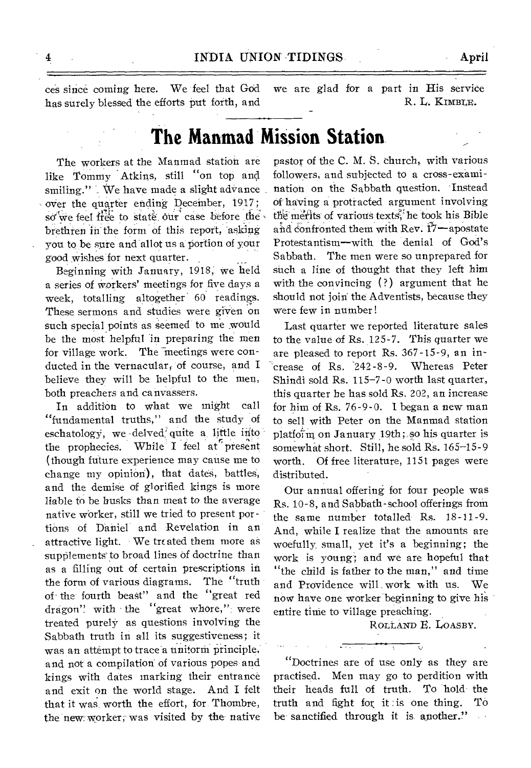ces since coming here. We feel that God has surely blessed the efforts put forth, and we are glad for a part in His *service*  R. L. KIMBLE.

# **The. Manmad Mission Station**.

The workers at the Manmad station are like Tommy Atkins, still "on top and. smiling." We have made a slight advance over the quarter ending December, 1917; so we feel free to state our case before the brethren in the form of this report, asking you to be sure and allot us a portion of your good wishes for next quarter.

Beginning with January, 1918, we held a series of workers' meetings for five days a week, totalling altogether 60 readings. These sermons and studies were given on such special points as seemed to me would be the most helpful in preparing the men for village work. The meetings were conducted in the vernacular; of course, and I believe they will be helpful to the men, both preachers and canvassers.

In addition to what we might call "fundamental truths," and the study of eschatology, we delved<sup>1</sup> quite a little into the prophecies. While' I feel at present (though future experience may cause me to change my opinion), that dates, battles, and the demise of glorified kings is more liable to be busks than meat to the average native worker, still we tried to present portions of Daniel and Revelation in an attractive light. We treated them more as supplements to broad lines of doctrine than as a filling out of certain prescriptions in the form of various diagrams. The "truth of the' fourth beast" and the "great red dragon" with the "great whore," were treated purely as questions involving the Sabbath truth in all its suggestiveness; it was an attempt to trace a unitorm principle. and not a compilation of various popes and kings with dates marking their entrance and exit on the world stage. And I felt that it was worth the effort, for. Thombre, the new worker, was visited by the native

pastor of the C. M. S. church, with various followers, and subjected to a cross-examination on the Sabbath question. Instead of having a protracted argument involving the merits of various texts, he took his Bible and confronted them with Rev.  $17$ —apostate Protestantism—with the denial of God's Sabbath. The men were so unprepared for such a line of thought that they left him with the convincing (?) argument that he should not join: the Adventists, because they were few in number!

Last quarter we reported literature sales to the value of Rs. 125-7. This quarter we are pleased to report Rs. 367-15-9, an increase of Rs. 242-8-9. Whereas Peter Shindi sold Rs. 115-7-0 worth last quarter, this quarter he has sold Rs. 202, an increase for him of Rs. 76-9-0. I began a new man to sell with Peter on the Manmad station platfoim on January 19th; so his quarter is somewhat short. Still, he sold Rs. 165-15-9 worth. Of free literature, 1151 pages were distributed.

Our annual offering for four people was Rs. 10-8, and Sabbath-school offerings from the same number totalled Rs. 18-11-9. And, while I realize that the amounts are woefully small, yet it's a beginning; the work is young; and we are hopeful that "the child is father to the man," and time and Providence will work with us. We now have one worker beginning to give his entire time to village preaching.

ROLLAND E. LOASBY.

"Doctrines are of use only as they are practised. Men may go to perdition with their heads full of truth. To hold the truth and fight for it is one thing. To be sanctified through it is another."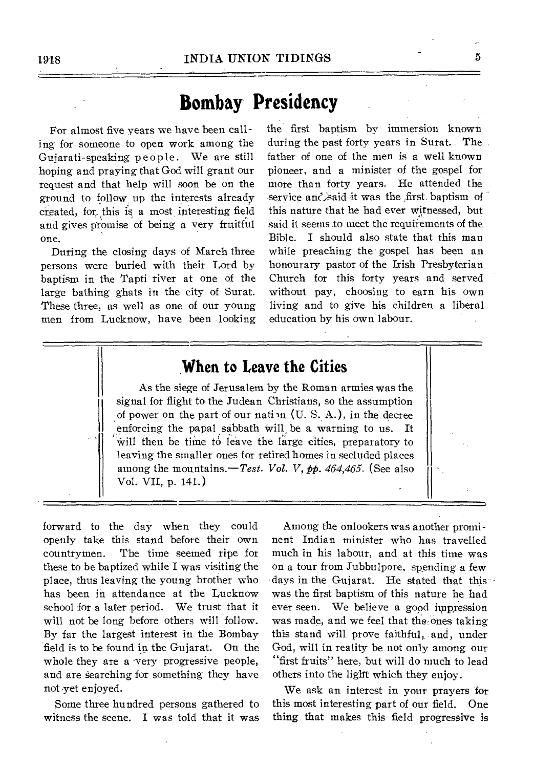# **Bombay Presidency**

For almost five years we have been calling for someone to open work among the Gujarati-speaking people. We are still hoping and praying that God will grant our request and that help will soon be on the ground to follow up the interests already created, for this is a most interesting field and gives promise of being a very fruitful one.

During the closing days of March three persons were buried with their Lord by baptism in the Tapti river at one of the large bathing ghats in the city of Surat. These three, as well as one of our young men from Lucknow, have been looking the first baptism by immersion known during the past forty years in Surat. The father of one of the men is a well known pioneer, and a minister of the gospel for more than forty years. He attended the service and said it was the first baptism of this nature that he had ever witnessed, but said it seems to meet the requirements of the Bible. I should also state that this man while preaching the gospel has been an honourary pastor of the Irish Presbyterian Church for this forty years and served without pay, choosing to earn his own living and to give his children a liberal education by his own labour.

## **When to Leave the Cities**

As the siege of Jerusalem by the Roman armies was the signal for flight to the Judean Christians, so the assumption of power on the part of our nation  $(U, S, A)$ , in the decree enforcing the papal sabbath Will be a warning to us. It will then be time to leave the large cities, preparatory to leaving the smaller ones for retired homes in secluded places among the mountains.—Test. *Vol. V,* pp. *464,465.* (See also Vol. VII, p. 141.)

forward to the day when they could openly take this stand before their own countrymen. The time seemed ripe for these to be baptized while I was visiting the place, thus leaving the young brother who has been in attendance at the Lucknow school for a later period. We trust that it will not be long before others will follow. By far the largest interest in the Bombay field is to be found in the Gujarat. On the whole they are a very progressive people, and are searching for something they have not yet enjoyed.

Some three hundred persons gathered to witness the scene. I was told that it was

Among the onlookers was another prominent Indian minister who has travelled much in his labour, and at this time was on a tour from Jubbulpore, spending a few days in the Gujarat. He stated that this was the first baptism of this nature he had ever seen. We believe a good impression was made, and we feel that the:ones taking this stand will prove faithful, and, under God, will in reality be not only among our "first fruits" here, but will do much to lead others into the light which they enjoy.

We ask an interest in your prayers for this most interesting part of our field. One thing that makes this field progressive is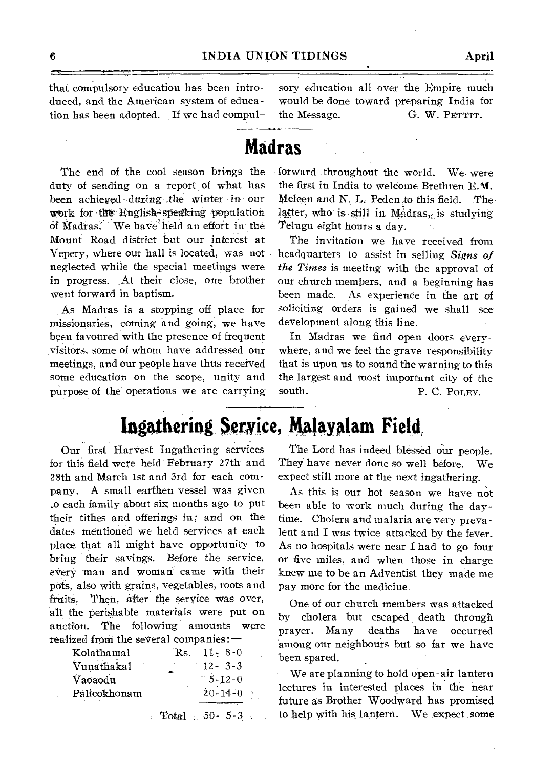that compulsory education has been introduced, and the American system of education has been adopted. If we had compul-

sory education all over the Empire much would be done toward preparing India for the Message. G. W. PETTIT.

## **Madras**

The end of the cool season brings the duty of sending on a report of what has been achieved during the winter in our work for the English-speaking population of Madras. We have' held an effort in the Mount Road district but our interest at Vepery, where our hall is located, was not neglected while the special meetings were in progress. \_At their close, one brother went forward in baptism.

As Madras is a stopping off place for missionaries, coming and going, we have been favoured with the presence of frequent visitors; some of whom have addressed our meetings, and our people have thus received some education on the scope, unity and purpose of the operations we are carrying

**Ingathering**\_ **Service, Malayalam Field,** 

Our first Harvest Ingathering services for this field were held February 27th and 28th and March 1st and 3rd for each company. A small earthen vessel was given \_o each family about six months ago to put their tithes and offerings in; and on the dates mentioned we held services at each place that all might have opportunity to bring their savings. Before the service, every man and woman came with their pots, also with grains, vegetables, roots and fruits. Then, after the service was over, all the perishable materials were put on auction. The following amounts were realized front the several companies: —

| Kolathamal   | Rs. | $11 - 8 - 0$            |
|--------------|-----|-------------------------|
| Vunathakal   |     | $12 - 3 - 3$            |
| Vaoaodu      |     | $-5 - 12 - 0$           |
| Palicokhonam |     | $20 - 14 - 0$           |
|              |     | <b>Total</b> 50 - 5 - 3 |

forward throughout the world. We were the first in India to welcome Brethren E. **Vf.**  Meleen and N. L. Peden to this field. The latter, who is still in  $M_0$ dras, is studying Telugu eight hours a day.

The invitation we have received from headquarters to assist in selling *Signs of the Times* is meeting with the approval of our church members, and a beginning has been made. As experience in the art of soliciting orders is gained we shall see development along this line.

In Madras we find open doors everywhere, and we feel the grave responsibility that is upon us to sound the warning to this the largest and most important city of the south. P. C. POLEY.

## The Lord has indeed blessed our people. They' have never done so well before. We expect still more at the next ingathering.

As this is our hot season we have not been able to work much during the daytime. Cholera and malaria are very prevalent and I was twice attacked by the fever. As no hospitals were near I had to go four or five miles, and when those in charge knew me to be an Adventist they made me pay more for the medicine.

One of our church members was attacked by cholera but escaped, death through prayer. Many deaths have occurred among our neighbours but so far we have been spared.

We are planning to hold open-air lantern lectures in interested places in the near future as Brother Woodward has promised to help with his lantern. We expect some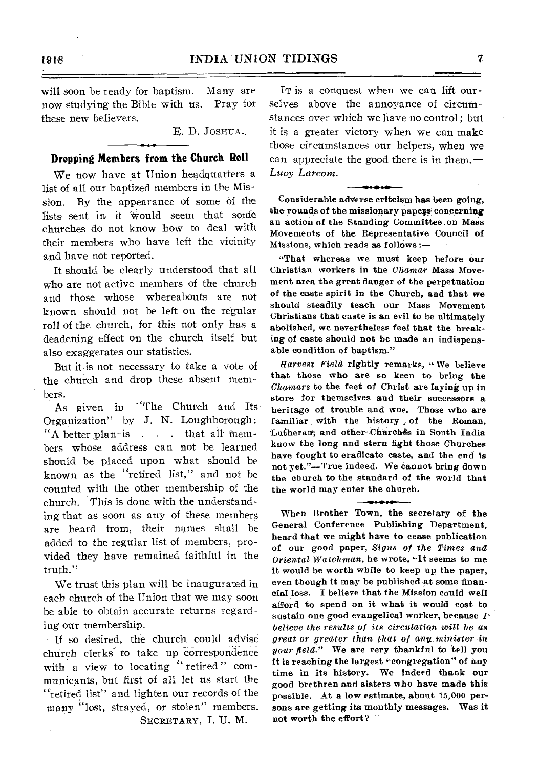will soon be ready for baptism. Many are now studying the Bible with us. Pray for these new believers.

E. D. JOSHUA..

#### **Dropping Members from the Church Roll**

We now have at Union headquarters a list of all our baptized members in the Mission. By the appearance of some of the lists sent in it would seem that sonie churches do not know how to deal with their members who have left the vicinity and have not reported.

It should be clearly understood that all who are not active members of the church and those whose whereabouts are not known should not be left on the regular roll of the church, for this not only has a deadening effect on the church itself but also exaggerates our statistics.

But it is not necessary to take a vote of the church and drop these absent members.

As given in "The Church and Its Organization" by J. N. Loughborough:  $"A$  better plan<sup>-</sup> is . . . that all members whose address can not be learned should be placed upon what should be known as the "retired list," and not be counted with the other membership of the church. This is done with the understanding that as soon as any of these members are heard from, their names shall be added to the regular list of members, provided they have remained faithful in the truth."

We trust this plan will be inaugurated in each church of the Union that we may soon he able to obtain accurate returns regarding our membership.

If so desired, the church could advise church clerks to take up correspondence with a view to locating " retired " communicants, but first of all let us start the "retired list" and lighten our records of the many "lost, strayed, or stolen" members. SECRETARY, I. U. M.

It is a conquest when we can lift ourselves above the annoyance of circumstances over which we have no control; but it is a greater victory when we can make those circumstances our helpers, when we can appreciate the good there is in them.— *Lucy Larrom.* 

Considerable adVerse critcism has been going, the rounds of the missionary papegs concerning an action of the Standing Committee on Mass Movements of the Representative Council of Missions, which reads as follows :—

"That whereas we must keep before our Christian workers in the Chamar Mass Movement area the great danger of the perpetuation of the caste spirit in the Church, and that we should steadily teach our Mass Movement Christians that caste is an evil to be ultimately abolished, we nevertheless feel that the breaking of caste should not be made an indispensable condition of baptism."

*Harvest Field* rightly remarks, " We believe that those who are so keen to bring the *Chamars* to the feet of Christ are laying up in store for themselves and their successors a heritage of trouble and woe. Those who are familiar with the history of the Roman, Lutheran; and other Churches in South India know the long and stern fight those Churches have fought to eradicate caste, and the end is not yet."—True indeed. We cannot bring down the church to the standard of the world that the world may enter the church.

When Brother Town, the secretary of the General Conference Publishing Department, heard that we might have to cease publication of our good paper, *Signs of the Times and Oriental Watchman,* be wrote, "It seems to me it would be worth while to keep up the paper, even though it may be published at some financial loss. I believe that the Mission could well afford to spend on it what it would cost to sustain one good evangelical worker, because *Ibelieve the results of its circulation will be as great or greater than that of any minister in your field."* We are *very* thankful to 'tell you it is reaching the largest 'congregation" of any time in its history. We indeed thank our good brethren and sisters who have made this possible. At a low estimate, about 15,000 persons are getting its monthly messages. Was it not worth the effort?